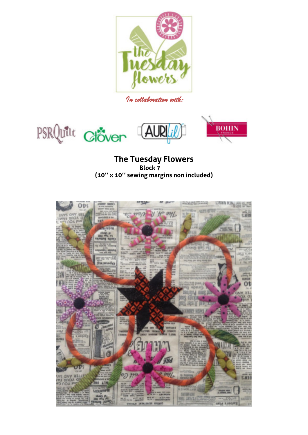

*In collaboration with:* 





# **The Tuesday Flowers Block 7 (10'' x 10'' sewing margins non included)**

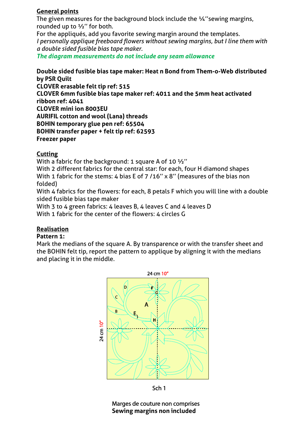#### **General points**

The given measures for the background block include the ¼"sewing margins, rounded up to ½'' for both.

For the appliqués, add you favorite sewing margin around the templates. *I personally applique freeboard flowers without sewing margins, but I line them with a double sided fusible bias tape maker.* 

*The diagram measurements do not include any seam allowance* 

#### **Double sided fusible bias tape maker: Heat n Bond from Them-o-Web distributed by PSR Quilt**

**CLOVER erasable felt tip ref: 515 CLOVER 6mm fusible bias tape maker ref: 4011 and the 5mm heat activated ribbon ref: 4041 CLOVER mini ion 8003EU AURIFIL cotton and wool (Lana) threads BOHIN temporary glue pen ref: 65504 BOHIN transfer paper + felt tip ref: 62593 Freezer paper** 

#### **Cutting**

With a fabric for the background: 1 square A of 10  $\frac{1}{2}$ "

With 2 different fabrics for the central star: for each, four H diamond shapes With 1 fabric for the stems: 4 bias E of 7 /16" x 8" (measures of the bias non folded)

With 4 fabrics for the flowers: for each, 8 petals F which you will line with a double sided fusible bias tape maker

With 3 to 4 green fabrics: 4 leaves B, 4 leaves C and 4 leaves D

With 1 fabric for the center of the flowers: 4 circles G

#### **Realisation**

#### **Pattern 1:**

Mark the medians of the square A. By transparence or with the transfer sheet and the BOHIN felt tip, report the pattern to applique by aligning it with the medians and placing it in the middle.



Sch<sub>1</sub>

Marges de couture non comprises **Sewing margins non included**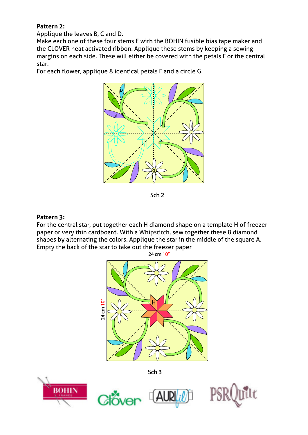## **Pattern 2:**

Applique the leaves B, C and D.

Make each one of these four stems E with the BOHIN fusible bias tape maker and the CLOVER heat activated ribbon. Applique these stems by keeping a sewing margins on each side. These will either be covered with the petals F or the central star.

For each flower, applique 8 identical petals F and a circle G.



Sch<sub>2</sub>

### **Pattern 3:**

For the central star, put together each H diamond shape on a template H of freezer paper or very thin cardboard. With a Whipstitch, sew together these 8 diamond shapes by alternating the colors. Applique the star in the middle of the square A. Empty the back of the star to take out the freezer paper



**BOHIN**